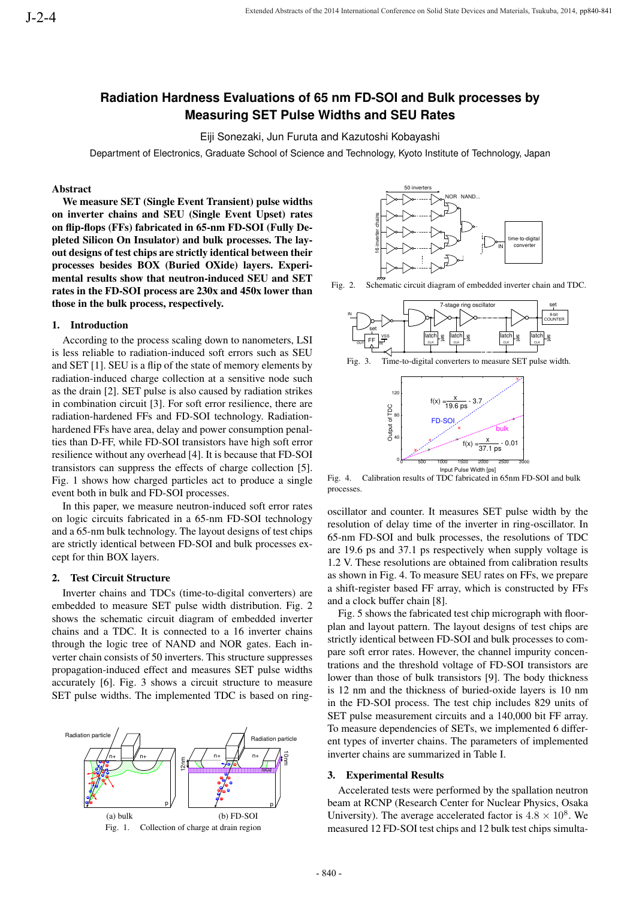# **Radiation Hardness Evaluations of 65 nm FD-SOI and Bulk processes by Measuring SET Pulse Widths and SEU Rates**

Eiji Sonezaki, Jun Furuta and Kazutoshi Kobayashi

Department of Electronics, Graduate School of Science and Technology, Kyoto Institute of Technology, Japan

# Abstract

We measure SET (Single Event Transient) pulse widths on inverter chains and SEU (Single Event Upset) rates on flip-flops (FFs) fabricated in 65-nm FD-SOI (Fully Depleted Silicon On Insulator) and bulk processes. The layout designs of test chips are strictly identical between their processes besides BOX (Buried OXide) layers. Experimental results show that neutron-induced SEU and SET rates in the FD-SOI process are 230x and 450x lower than those in the bulk process, respectively.

#### 1. Introduction

According to the process scaling down to nanometers, LSI is less reliable to radiation-induced soft errors such as SEU and SET [1]. SEU is a flip of the state of memory elements by radiation-induced charge collection at a sensitive node such as the drain [2]. SET pulse is also caused by radiation strikes in combination circuit [3]. For soft error resilience, there are radiation-hardened FFs and FD-SOI technology. Radiationhardened FFs have area, delay and power consumption penalties than D-FF, while FD-SOI transistors have high soft error resilience without any overhead [4]. It is because that FD-SOI transistors can suppress the effects of charge collection [5]. Fig. 1 shows how charged particles act to produce a single event both in bulk and FD-SOI processes.

In this paper, we measure neutron-induced soft error rates on logic circuits fabricated in a 65-nm FD-SOI technology and a 65-nm bulk technology. The layout designs of test chips are strictly identical between FD-SOI and bulk processes except for thin BOX layers.

### 2. Test Circuit Structure

Inverter chains and TDCs (time-to-digital converters) are embedded to measure SET pulse width distribution. Fig. 2 shows the schematic circuit diagram of embedded inverter chains and a TDC. It is connected to a 16 inverter chains through the logic tree of NAND and NOR gates. Each inverter chain consists of 50 inverters. This structure suppresses propagation-induced effect and measures SET pulse widths accurately [6]. Fig. 3 shows a circuit structure to measure SET pulse widths. The implemented TDC is based on ring-







Fig. 2. Schematic circuit diagram of embedded inverter chain and TDC.



Fig. 3. Time-to-digital converters to measure SET pulse width.



Fig. 4. Calibration results of TDC fabricated in 65nm FD-SOI and bulk processes.

oscillator and counter. It measures SET pulse width by the resolution of delay time of the inverter in ring-oscillator. In 65-nm FD-SOI and bulk processes, the resolutions of TDC are 19.6 ps and 37.1 ps respectively when supply voltage is 1.2 V. These resolutions are obtained from calibration results as shown in Fig. 4. To measure SEU rates on FFs, we prepare a shift-register based FF array, which is constructed by FFs and a clock buffer chain [8].

Fig. 5 shows the fabricated test chip micrograph with floorplan and layout pattern. The layout designs of test chips are strictly identical between FD-SOI and bulk processes to compare soft error rates. However, the channel impurity concentrations and the threshold voltage of FD-SOI transistors are lower than those of bulk transistors [9]. The body thickness is 12 nm and the thickness of buried-oxide layers is 10 nm in the FD-SOI process. The test chip includes 829 units of SET pulse measurement circuits and a 140,000 bit FF array. To measure dependencies of SETs, we implemented 6 different types of inverter chains. The parameters of implemented inverter chains are summarized in Table I.

#### 3. Experimental Results

Accelerated tests were performed by the spallation neutron beam at RCNP (Research Center for Nuclear Physics, Osaka University). The average accelerated factor is  $4.8 \times 10^8$ . We measured 12 FD-SOI test chips and 12 bulk test chips simulta-